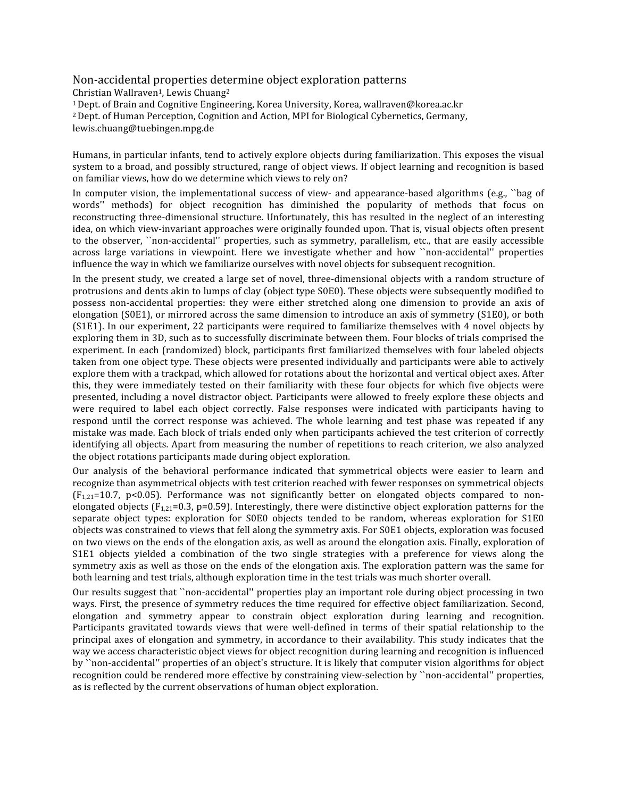## Non‐accidental properties determine object exploration patterns

Christian Wallraven<sup>1</sup>, Lewis Chuang<sup>2</sup> 1Dept. of Brain and Cognitive Engineering, Korea University, Korea, wallraven@korea.ac.kr 2 Dept. of Human Perception, Cognition and Action, MPI for Biological Cybernetics, Germany, lewis.chuang@tuebingen.mpg.de

Humans, in particular infants, tend to actively explore objects during familiarization. This exposes the visual system to a broad, and possibly structured, range of object views. If object learning and recognition is based on familiar views, how do we determine which views to rely on?

In computer vision, the implementational success of view- and appearance-based algorithms (e.g., "bag of words'' methods) for object recognition has diminished the popularity of methods that focus on reconstructing three-dimensional structure. Unfortunately, this has resulted in the neglect of an interesting idea, on which view‐invariant approaches were originally founded upon. That is, visual objects often present to the observer, "non-accidental" properties, such as symmetry, parallelism, etc., that are easily accessible across large variations in viewpoint. Here we investigate whether and how ``non-accidental'' properties influence the way in which we familiarize ourselves with novel objects for subsequent recognition.

In the present study, we created a large set of novel, three-dimensional objects with a random structure of protrusions and dents akin to lumps of clay (object type S0E0). These objects were subsequently modified to possess non‐accidental properties: they were either stretched along one dimension to provide an axis of elongation (S0E1), or mirrored across the same dimension to introduce an axis of symmetry (S1E0), or both (S1E1). In our experiment, 22 participants were required to familiarize themselves with 4 novel objects by exploring them in 3D, such as to successfully discriminate between them. Four blocks of trials comprised the experiment. In each (randomized) block, participants first familiarized themselves with four labeled objects taken from one object type. These objects were presented individually and participants were able to actively explore them with a trackpad, which allowed for rotations about the horizontal and vertical object axes. After this, they were immediately tested on their familiarity with these four objects for which five objects were presented, including a novel distractor object. Participants were allowed to freely explore these objects and were required to label each object correctly. False responses were indicated with participants having to respond until the correct response was achieved. The whole learning and test phase was repeated if any mistake was made. Each block of trials ended only when participants achieved the test criterion of correctly identifying all objects. Apart from measuring the number of repetitions to reach criterion, we also analyzed the object rotations participants made during object exploration.

Our analysis of the behavioral performance indicated that symmetrical objects were easier to learn and recognize than asymmetrical objects with test criterion reached with fewer responses on symmetrical objects (F<sub>1,21</sub>=10.7, p<0.05). Performance was not significantly better on elongated objects compared to nonelongated objects ( $F_{1,21}=0.3$ , p=0.59). Interestingly, there were distinctive object exploration patterns for the separate object types: exploration for S0E0 objects tended to be random, whereas exploration for S1E0 objects was constrained to views that fell along the symmetry axis. For S0E1 objects, exploration was focused on two views on the ends of the elongation axis, as well as around the elongation axis. Finally, exploration of S1E1 objects yielded a combination of the two single strategies with a preference for views along the symmetry axis as well as those on the ends of the elongation axis. The exploration pattern was the same for both learning and test trials, although exploration time in the test trials was much shorter overall.

Our results suggest that ``non‐accidental'' properties play an important role during object processing in two ways. First, the presence of symmetry reduces the time required for effective object familiarization. Second, elongation and symmetry appear to constrain object exploration during learning and recognition. Participants gravitated towards views that were well-defined in terms of their spatial relationship to the principal axes of elongation and symmetry, in accordance to their availability. This study indicates that the way we access characteristic object views for object recognition during learning and recognition is influenced by ``non‐accidental'' properties of an object's structure. It is likely that computer vision algorithms for object recognition could be rendered more effective by constraining view‐selection by ``non‐accidental'' properties, as is reflected by the current observations of human object exploration.